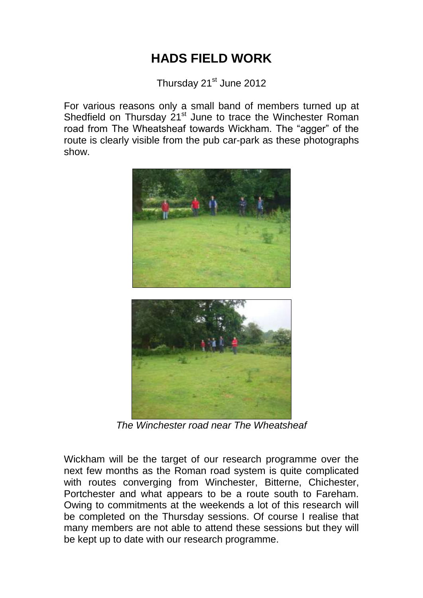## **HADS FIELD WORK**

Thursday 21<sup>st</sup> June 2012

For various reasons only a small band of members turned up at Shedfield on Thursday 21<sup>st</sup> June to trace the Winchester Roman road from The Wheatsheaf towards Wickham. The "agger" of the route is clearly visible from the pub car-park as these photographs show.



*The Winchester road near The Wheatsheaf*

Wickham will be the target of our research programme over the next few months as the Roman road system is quite complicated with routes converging from Winchester, Bitterne, Chichester, Portchester and what appears to be a route south to Fareham. Owing to commitments at the weekends a lot of this research will be completed on the Thursday sessions. Of course I realise that many members are not able to attend these sessions but they will be kept up to date with our research programme.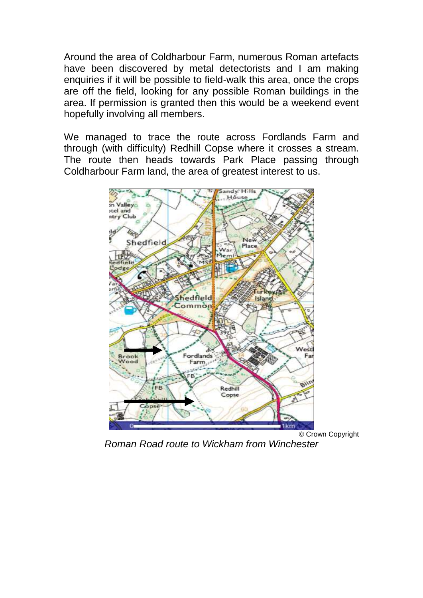Around the area of Coldharbour Farm, numerous Roman artefacts have been discovered by metal detectorists and I am making enquiries if it will be possible to field-walk this area, once the crops are off the field, looking for any possible Roman buildings in the area. If permission is granted then this would be a weekend event hopefully involving all members.

We managed to trace the route across Fordlands Farm and through (with difficulty) Redhill Copse where it crosses a stream. The route then heads towards Park Place passing through Coldharbour Farm land, the area of greatest interest to us.



© Crown Copyright

*Roman Road route to Wickham from Winchester*